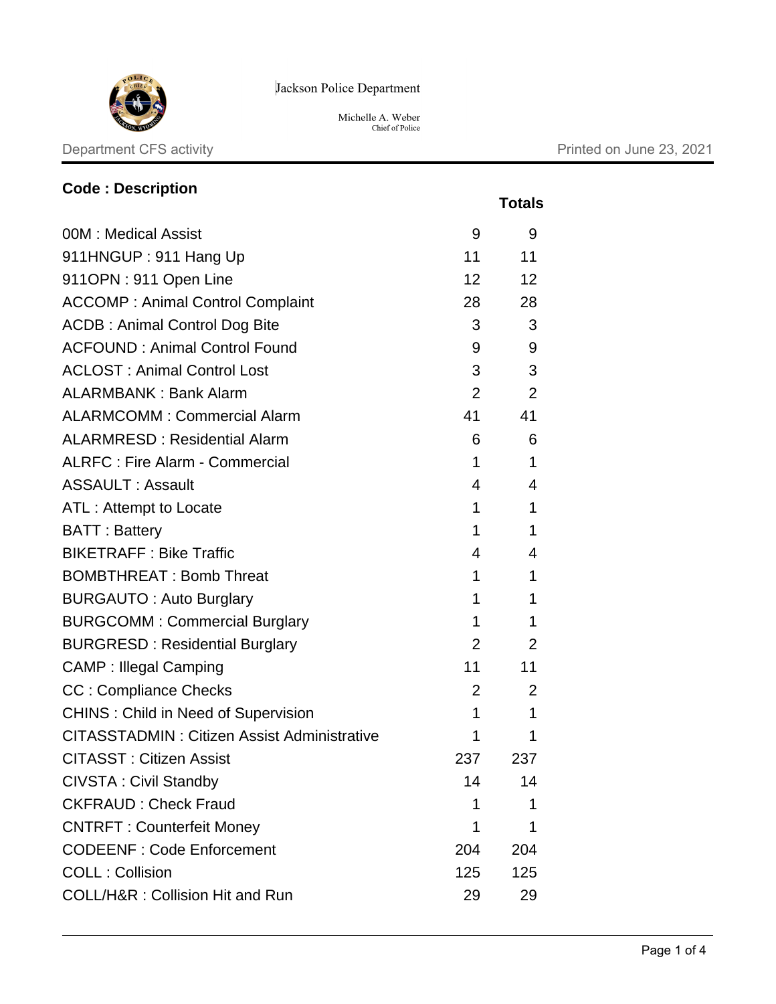

Jackson Police Department

Michelle A. Weber<br>Chief of Police

## Department CFS activity **Department CFS** activity

**Code : Description**

|                                                    |                | <b>Totals</b>                       |
|----------------------------------------------------|----------------|-------------------------------------|
| 00M : Medical Assist                               | 9              | 9                                   |
| 911HNGUP: 911 Hang Up                              | 11             | 11                                  |
| 911OPN: 911 Open Line                              | 12             | 12                                  |
| <b>ACCOMP: Animal Control Complaint</b>            | 28             | 28                                  |
| <b>ACDB: Animal Control Dog Bite</b>               | 3 <sup>7</sup> | 3                                   |
| <b>ACFOUND: Animal Control Found</b>               | 9              | 9                                   |
| <b>ACLOST: Animal Control Lost</b>                 | 3              | 3                                   |
| <b>ALARMBANK: Bank Alarm</b>                       | $\overline{2}$ | 2                                   |
| <b>ALARMCOMM: Commercial Alarm</b>                 | 41             | 41                                  |
| <b>ALARMRESD: Residential Alarm</b>                | 6              | 6                                   |
| <b>ALRFC: Fire Alarm - Commercial</b>              | $\mathbf 1$    | $\mathbf 1$                         |
| <b>ASSAULT: Assault</b>                            | 4              | 4                                   |
| ATL: Attempt to Locate                             | 1              | 1                                   |
| <b>BATT: Battery</b>                               | 1              | 1                                   |
| <b>BIKETRAFF: Bike Traffic</b>                     | 4              | 4                                   |
| <b>BOMBTHREAT: Bomb Threat</b>                     | 1              | 1                                   |
| <b>BURGAUTO: Auto Burglary</b>                     | 1              | 1                                   |
| <b>BURGCOMM: Commercial Burglary</b>               | 1              | 1                                   |
| <b>BURGRESD: Residential Burglary</b>              |                | $2 \left( \frac{1}{2} \right)$<br>2 |
| <b>CAMP: Illegal Camping</b>                       | 11             | 11                                  |
| <b>CC: Compliance Checks</b>                       | $\overline{2}$ | 2                                   |
| <b>CHINS: Child in Need of Supervision</b>         | 1              | $\mathbf 1$                         |
| <b>CITASSTADMIN: Citizen Assist Administrative</b> | 1              | 1                                   |
| <b>CITASST: Citizen Assist</b>                     | 237            | 237                                 |
| <b>CIVSTA: Civil Standby</b>                       | 14             | 14                                  |
| <b>CKFRAUD: Check Fraud</b>                        | 1              | 1                                   |
| <b>CNTRFT: Counterfeit Money</b>                   | 1              | 1                                   |
| <b>CODEENF: Code Enforcement</b>                   | 204            | 204                                 |
| <b>COLL: Collision</b>                             | 125            | 125                                 |
| COLL/H&R: Collision Hit and Run                    | 29             | 29                                  |
|                                                    |                |                                     |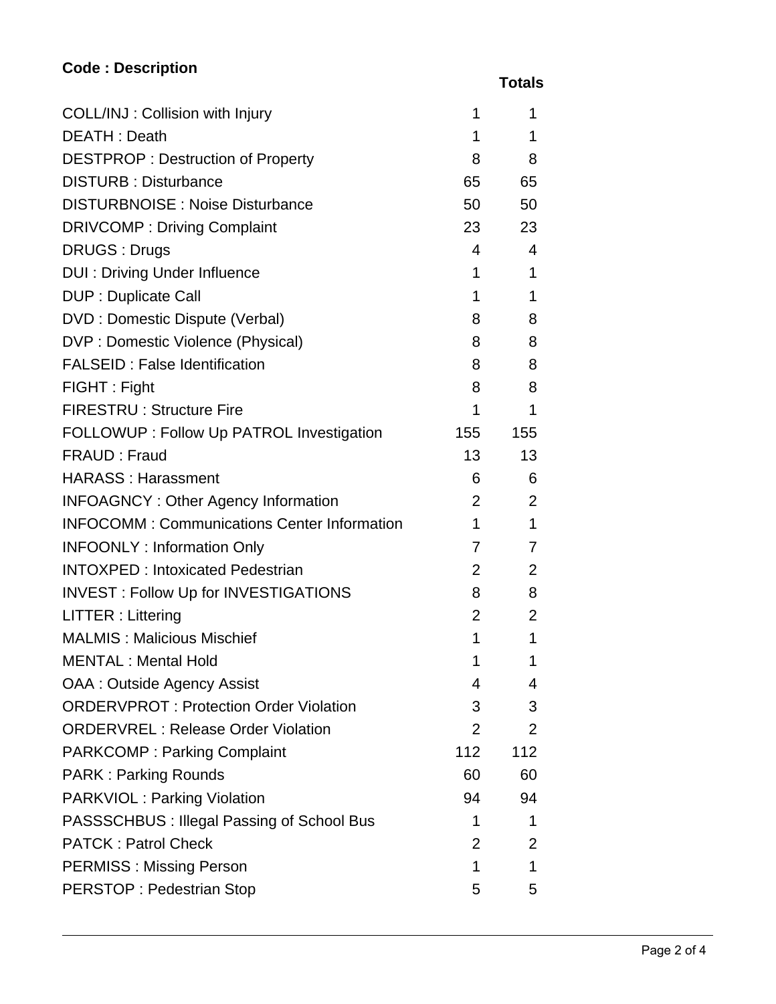## **Code : Description**

 **Totals**

| COLL/INJ: Collision with Injury                    | 1               | 1              |
|----------------------------------------------------|-----------------|----------------|
| <b>DEATH: Death</b>                                | 1               | 1              |
| <b>DESTPROP: Destruction of Property</b>           | 8               | 8              |
| <b>DISTURB: Disturbance</b>                        | 65              | 65             |
| <b>DISTURBNOISE: Noise Disturbance</b>             | 50              | 50             |
| <b>DRIVCOMP: Driving Complaint</b>                 | 23              | 23             |
| <b>DRUGS: Drugs</b>                                | 4               | 4              |
| <b>DUI: Driving Under Influence</b>                | 1               | 1              |
| <b>DUP: Duplicate Call</b>                         | 1               | 1              |
| DVD : Domestic Dispute (Verbal)                    | 8               | 8              |
| DVP : Domestic Violence (Physical)                 | 8               | 8              |
| <b>FALSEID: False Identification</b>               | 8               | 8              |
| FIGHT: Fight                                       | 8               | 8              |
| <b>FIRESTRU: Structure Fire</b>                    | 1               | 1              |
| FOLLOWUP : Follow Up PATROL Investigation          | 155             | 155            |
| FRAUD: Fraud                                       | 13 <sup>2</sup> | 13             |
| <b>HARASS: Harassment</b>                          | 6               | 6              |
| <b>INFOAGNCY: Other Agency Information</b>         | 2               | 2              |
| <b>INFOCOMM: Communications Center Information</b> | 1               | 1              |
| <b>INFOONLY: Information Only</b>                  | $\overline{7}$  | $\overline{7}$ |
| <b>INTOXPED: Intoxicated Pedestrian</b>            | 2               | $\overline{2}$ |
| <b>INVEST: Follow Up for INVESTIGATIONS</b>        | 8               | 8              |
| LITTER: Littering                                  | $\overline{2}$  | $\overline{2}$ |
| <b>MALMIS: Malicious Mischief</b>                  | 1               | 1              |
| <b>MENTAL: Mental Hold</b>                         | 1               | 1              |
| OAA : Outside Agency Assist                        | 4               | 4              |
| <b>ORDERVPROT: Protection Order Violation</b>      | 3               | 3              |
| <b>ORDERVREL: Release Order Violation</b>          | 2               | $\overline{2}$ |
| <b>PARKCOMP: Parking Complaint</b>                 | 112             | 112            |
| <b>PARK: Parking Rounds</b>                        | 60              | 60             |
| <b>PARKVIOL: Parking Violation</b>                 | 94              | 94             |
| PASSSCHBUS : Illegal Passing of School Bus         | 1               | 1              |
| <b>PATCK: Patrol Check</b>                         | $\overline{2}$  | $\overline{2}$ |
| <b>PERMISS: Missing Person</b>                     | 1               | 1              |
| <b>PERSTOP: Pedestrian Stop</b>                    | 5               | 5              |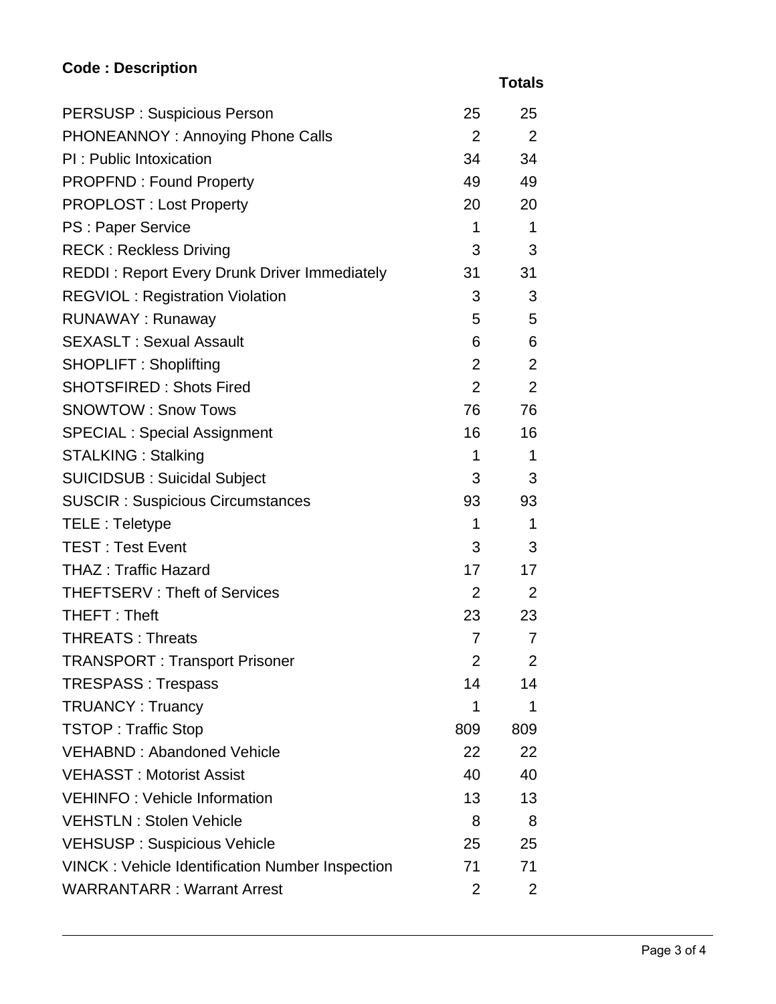## **Code : Description**

 **Totals**

| <b>PERSUSP: Suspicious Person</b>                      | 25              | 25             |
|--------------------------------------------------------|-----------------|----------------|
| PHONEANNOY: Annoying Phone Calls                       | $2^{\circ}$     | $\overline{2}$ |
| PI: Public Intoxication                                | 34              | 34             |
| <b>PROPFND: Found Property</b>                         | 49              | 49             |
| <b>PROPLOST: Lost Property</b>                         | 20              | 20             |
| PS : Paper Service                                     | 1               | 1              |
| <b>RECK: Reckless Driving</b>                          | 3               | 3              |
| <b>REDDI: Report Every Drunk Driver Immediately</b>    | 31              | 31             |
| <b>REGVIOL: Registration Violation</b>                 | 3               | 3              |
| <b>RUNAWAY: Runaway</b>                                | 5               | 5              |
| <b>SEXASLT: Sexual Assault</b>                         | 6               | 6              |
| <b>SHOPLIFT: Shoplifting</b>                           | $\overline{2}$  | 2              |
| <b>SHOTSFIRED: Shots Fired</b>                         | $\overline{2}$  | $\overline{2}$ |
| <b>SNOWTOW: Snow Tows</b>                              | 76              | 76             |
| <b>SPECIAL: Special Assignment</b>                     | 16 <sup>1</sup> | 16             |
| <b>STALKING: Stalking</b>                              | 1               | 1              |
| <b>SUICIDSUB: Suicidal Subject</b>                     | 3               | 3              |
| <b>SUSCIR: Suspicious Circumstances</b>                | 93              | 93             |
| <b>TELE: Teletype</b>                                  | 1               | 1              |
| <b>TEST: Test Event</b>                                | 3               | 3              |
| <b>THAZ: Traffic Hazard</b>                            | 17              | 17             |
| <b>THEFTSERV: Theft of Services</b>                    | $2^{\circ}$     | 2              |
| THEFT: Theft                                           | 23              | 23             |
| <b>THREATS: Threats</b>                                | $\overline{7}$  | 7              |
| <b>TRANSPORT: Transport Prisoner</b>                   | $\overline{2}$  | $\overline{2}$ |
| <b>TRESPASS: Trespass</b>                              | 14              | 14             |
| <b>TRUANCY: Truancy</b>                                | 1               | 1              |
| <b>TSTOP: Traffic Stop</b>                             | 809             | 809            |
| <b>VEHABND: Abandoned Vehicle</b>                      | 22              | 22             |
| <b>VEHASST: Motorist Assist</b>                        | 40              | 40             |
| <b>VEHINFO: Vehicle Information</b>                    | 13              | 13             |
| <b>VEHSTLN: Stolen Vehicle</b>                         | 8               | 8              |
| <b>VEHSUSP: Suspicious Vehicle</b>                     | 25              | 25             |
| <b>VINCK: Vehicle Identification Number Inspection</b> | 71              | 71             |
| <b>WARRANTARR: Warrant Arrest</b>                      | $\overline{2}$  | $\overline{2}$ |
|                                                        |                 |                |